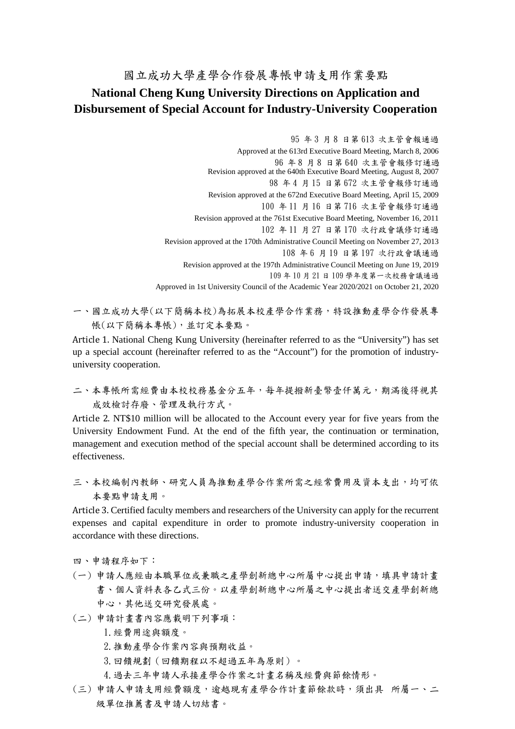## 國立成功大學產學合作發展專帳申請支用作業要點 **National Cheng Kung University Directions on Application and Disbursement of Special Account for Industry-University Cooperation**

95 年 3 月 8 日第 613 次主管會報通過 Approved at the 613rd Executive Board Meeting, March 8, 2006 96 年 8 月 8 日第 640 次主管會報修訂通過 Revision approved at the 640th Executive Board Meeting, August 8, 2007 98 年 4 月 15 日第 672 次主管會報修訂通過 Revision approved at the 672nd Executive Board Meeting, April 15, 2009 100 年 11 月 16 日第 716 次主管會報修訂通過 Revision approved at the 761st Executive Board Meeting, November 16, 2011 102 年 11 月 27 日第 170 次行政會議修訂通過 Revision approved at the 170th Administrative Council Meeting on November 27, 2013 108 年 6 月 19 日第 197 次行政會議通過 Revision approved at the 197th Administrative Council Meeting on June 19, 2019 109 年 10 月 21 日 109 學年度第一次校務會議通過 Approved in 1st University Council of the Academic Year 2020/2021 on October 21, 2020

一、國立成功大學(以下簡稱本校)為拓展本校產學合作業務,特設推動產學合作發展專 帳(以下簡稱本專帳),並訂定本要點。

Article 1. National Cheng Kung University (hereinafter referred to as the "University") has set up a special account (hereinafter referred to as the "Account") for the promotion of industryuniversity cooperation.

二、本專帳所需經費由本校校務基金分五年,每年提撥新臺幣壹仟萬元,期滿後得視其 成效檢討存廢、管理及執行方式。

Article 2. NT\$10 million will be allocated to the Account every year for five years from the University Endowment Fund. At the end of the fifth year, the continuation or termination, management and execution method of the special account shall be determined according to its effectiveness.

三、本校編制內教師、研究人員為推動產學合作案所需之經常費用及資本支出,均可依 本要點申請支用。

Article 3. Certified faculty members and researchers of the University can apply for the recurrent expenses and capital expenditure in order to promote industry-university cooperation in accordance with these directions.

四、申請程序如下:

- (一) 申請人應經由本職單位或兼職之產學創新總中心所屬中心提出申請,填具申請計畫 書、個人資料表各乙式三份。以產學創新總中心所屬之中心提出者送交產學創新總 中心,其他送交研究發展處。
- (二) 申請計畫書內容應載明下列事項:

1.經費用途與額度。

- 2.推動產學合作案內容與預期收益。
- 3.回饋規劃(回饋期程以不超過五年為原則)。
- 4.過去三年申請人承接產學合作案之計畫名稱及經費與節餘情形。
- (三) 申請人申請支用經費額度,逾越現有產學合作計畫節餘款時,須出具 所屬一、二 級單位推薦書及申請人切結書。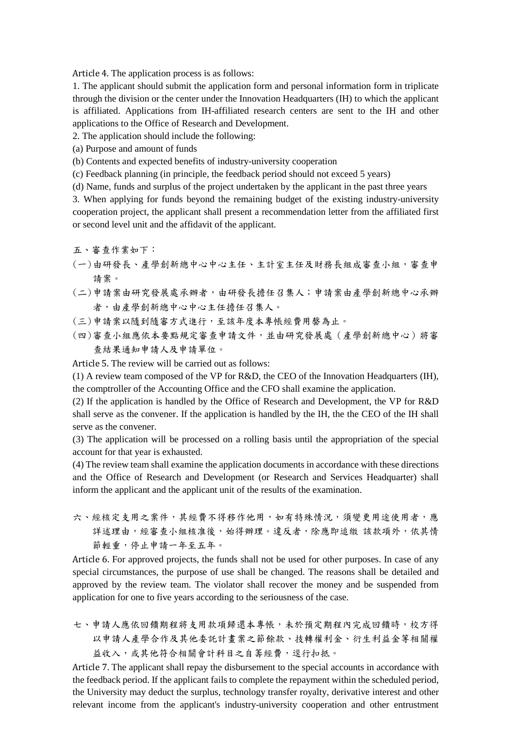Article 4. The application process is as follows:

1. The applicant should submit the application form and personal information form in triplicate through the division or the center under the Innovation Headquarters (IH) to which the applicant is affiliated. Applications from IH-affiliated research centers are sent to the IH and other applications to the Office of Research and Development.

2. The application should include the following:

(a) Purpose and amount of funds

(b) Contents and expected benefits of industry-university cooperation

(c) Feedback planning (in principle, the feedback period should not exceed 5 years)

(d) Name, funds and surplus of the project undertaken by the applicant in the past three years

3. When applying for funds beyond the remaining budget of the existing industry-university cooperation project, the applicant shall present a recommendation letter from the affiliated first or second level unit and the affidavit of the applicant.

五、審查作業如下:

(一)由研發長、產學創新總中心中心主任、主計室主任及財務長組成審查小組,審查申 請案。

- (二)申請案由研究發展處承辦者,由研發長擔任召集人;申請案由產學創新總中心承辦 者,由產學創新總中心中心主任擔任召集人。
- (三)申請案以隨到隨審方式進行,至該年度本專帳經費用罄為止。
- (四)審查小組應依本要點規定審查申請文件,並由研究發展處(產學創新總中心)將審 查結果通知申請人及申請單位。

Article 5. The review will be carried out as follows:

(1) A review team composed of the VP for R&D, the CEO of the Innovation Headquarters (IH), the comptroller of the Accounting Office and the CFO shall examine the application.

(2) If the application is handled by the Office of Research and Development, the VP for R&D shall serve as the convener. If the application is handled by the IH, the the CEO of the IH shall serve as the convener.

(3) The application will be processed on a rolling basis until the appropriation of the special account for that year is exhausted.

(4) The review team shall examine the application documents in accordance with these directions and the Office of Research and Development (or Research and Services Headquarter) shall inform the applicant and the applicant unit of the results of the examination.

六、經核定支用之案件,其經費不得移作他用,如有特殊情況,須變更用途使用者,應 詳述理由,經審查小組核准後,始得辦理。違反者,除應即追繳 該款項外,依其情 節輕重,停止申請一年至五年。

Article 6. For approved projects, the funds shall not be used for other purposes. In case of any special circumstances, the purpose of use shall be changed. The reasons shall be detailed and approved by the review team. The violator shall recover the money and be suspended from application for one to five years according to the seriousness of the case.

七、申請人應依回饋期程將支用款項歸還本專帳,未於預定期程內完成回饋時,校方得 以申請人產學合作及其他委託計畫案之節餘款、技轉權利金、衍生利益金等相關權 益收入,或其他符合相關會計科目之自籌經費,逕行扣抵。

Article 7. The applicant shall repay the disbursement to the special accounts in accordance with the feedback period. If the applicant fails to complete the repayment within the scheduled period, the University may deduct the surplus, technology transfer royalty, derivative interest and other relevant income from the applicant's industry-university cooperation and other entrustment